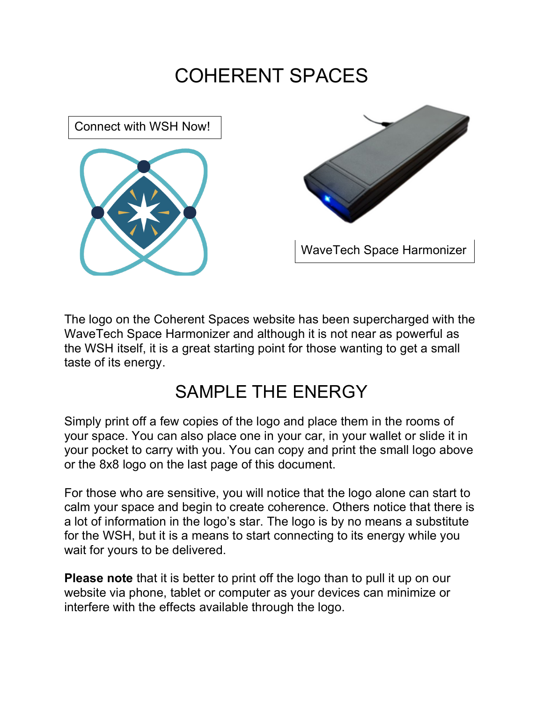## COHERENT SPACES





The logo on the Coherent Spaces website has been supercharged with the WaveTech Space Harmonizer and although it is not near as powerful as the WSH itself, it is a great starting point for those wanting to get a small taste of its energy.

 $\frac{1}{\sqrt{2}}$ 

## SAMPLE THE ENERGY

Simply print off a few copies of the logo and place them in the rooms of your space. You can also place one in your car, in your wallet or slide it in your pocket to carry with you. You can copy and print the small logo above or the 8x8 logo on the last page of this document.

For those who are sensitive, you will notice that the logo alone can start to calm your space and begin to create coherence. Others notice that there is a lot of information in the logo's star. The logo is by no means a substitute for the WSH, but it is a means to start connecting to its energy while you wait for yours to be delivered.

**Please note** that it is better to print off the logo than to pull it up on our website via phone, tablet or computer as your devices can minimize or interfere with the effects available through the logo.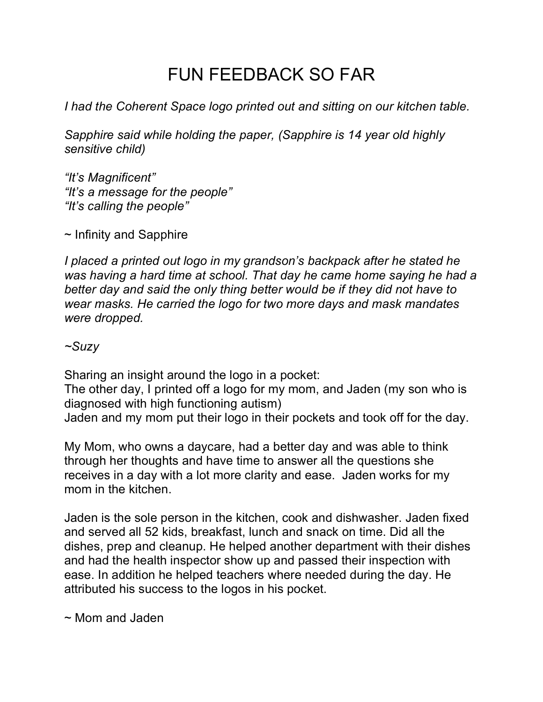## FUN FEEDBACK SO FAR

*I had the Coherent Space logo printed out and sitting on our kitchen table.*

*Sapphire said while holding the paper, (Sapphire is 14 year old highly sensitive child)*

*"It's Magnificent" "It's a message for the people" "It's calling the people"*

 $\sim$  Infinity and Sapphire

*I* placed a printed out logo in my grandson's backpack after he stated he *was having a hard time at school. That day he came home saying he had a better day and said the only thing better would be if they did not have to wear masks. He carried the logo for two more days and mask mandates were dropped.*

*~Suzy*

Sharing an insight around the logo in a pocket:

The other day, I printed off a logo for my mom, and Jaden (my son who is diagnosed with high functioning autism)

Jaden and my mom put their logo in their pockets and took off for the day.

My Mom, who owns a daycare, had a better day and was able to think through her thoughts and have time to answer all the questions she receives in a day with a lot more clarity and ease. Jaden works for my mom in the kitchen.

Jaden is the sole person in the kitchen, cook and dishwasher. Jaden fixed and served all 52 kids, breakfast, lunch and snack on time. Did all the dishes, prep and cleanup. He helped another department with their dishes and had the health inspector show up and passed their inspection with ease. In addition he helped teachers where needed during the day. He attributed his success to the logos in his pocket.

~ Mom and Jaden